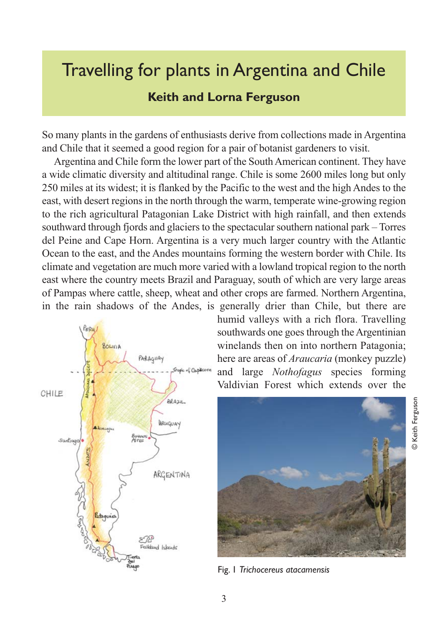## Travelling for plants in Argentina and Chile

## **Keith and Lorna Ferguson**

So many plants in the gardens of enthusiasts derive from collections made in Argentina and Chile that it seemed a good region for a pair of botanist gardeners to visit.

Argentina and Chile form the lower part of the South American continent. They have a wide climatic diversity and altitudinal range. Chile is some 2600 miles long but only 250 miles at its widest; it is flanked by the Pacific to the west and the high Andes to the east, with desert regions in the north through the warm, temperate wine-growing region to the rich agricultural Patagonian Lake District with high rainfall, and then extends southward through fjords and glaciers to the spectacular southern national park – Torres del Peine and Cape Horn. Argentina is a very much larger country with the Atlantic Ocean to the east, and the Andes mountains forming the western border with Chile. Its climate and vegetation are much more varied with a lowland tropical region to the north east where the country meets Brazil and Paraguay, south of which are very large areas of Pampas where cattle, sheep, wheat and other crops are farmed. Northern Argentina, in the rain shadows of the Andes, is generally drier than Chile, but there are



humid valleys with a rich flora. Travelling southwards one goes through the Argentinian winelands then on into northern Patagonia; here are areas of *Araucaria* (monkey puzzle) and large *Nothofagus* species forming Valdivian Forest which extends over the



Fig. 1 *Trichocereus atacamensis*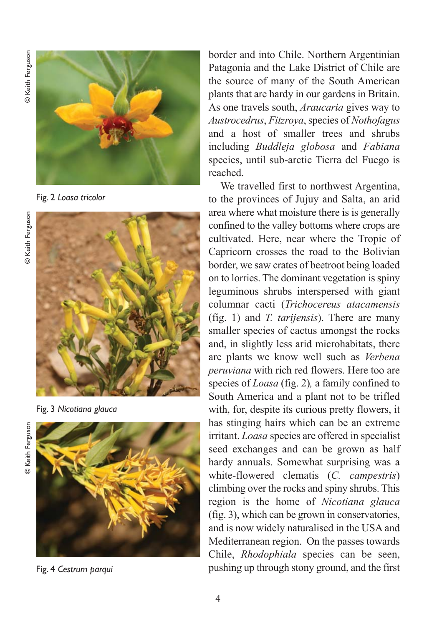© Keith Ferguson © Keith Ferguson



Fig. 2 *Loasa tricolor*





Fig. 3 *Nicotiana glauca*





border and into Chile. Northern Argentinian Patagonia and the Lake District of Chile are the source of many of the South American plants that are hardy in our gardens in Britain. As one travels south, *Araucaria* gives way to *Austrocedrus*, *Fitzroya*, species of *Nothofagus* and a host of smaller trees and shrubs including *Buddleja globosa* and *Fabiana* species, until sub-arctic Tierra del Fuego is reached.

We travelled first to northwest Argentina, to the provinces of Jujuy and Salta, an arid area where what moisture there is is generally confined to the valley bottoms where crops are cultivated. Here, near where the Tropic of Capricorn crosses the road to the Bolivian border, we saw crates of beetroot being loaded on to lorries. The dominant vegetation is spiny leguminous shrubs interspersed with giant columnar cacti (*Trichocereus atacamensis* (fig. 1) and *T. tarijensis*). There are many smaller species of cactus amongst the rocks and, in slightly less arid microhabitats, there are plants we know well such as *Verbena peruviana* with rich red flowers. Here too are species of *Loasa* (fig. 2) *,* a family confined to South America and a plant not to be trifled with, for, despite its curious pretty flowers, it has stinging hairs which can be an extreme irritant. *Loasa* species are offered in specialist seed exchanges and can be grown as half hardy annuals. Somewhat surprising was a white-flowered clematis (*C. campestris* ) climbing over the rocks and spiny shrubs. This region is the home of *Nicotiana glauca* (fig. 3), which can be grown in conservatories, and is now widely naturalised in the USA and Mediterranean region. On the passes towards Chile, *Rhodophiala* species can be seen, Fig. 4 *Cestrum parqui* pushing up through stony ground, and the first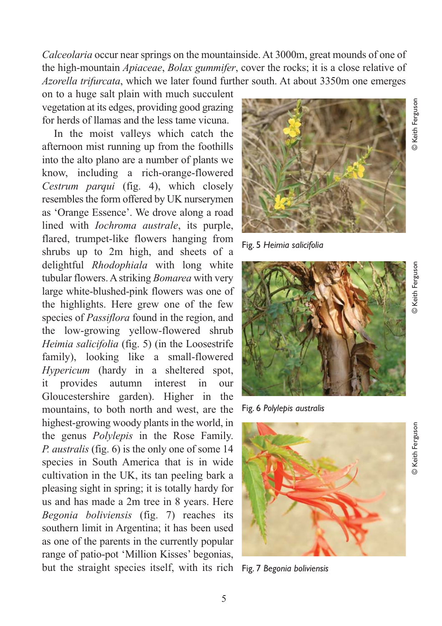**Example Keith Ferguson** © Keith Ferguson

*Calceolaria* occur near springs on the mountainside. At 3000m, great mounds of one of the high-mountain *Apiaceae*, *Bolax gummifer*, cover the rocks; it is a close relative of *Azorella trifurcata*, which we later found further south. At about 3350m one emerges

on to a huge salt plain with much succulent vegetation at its edges, providing good grazing for herds of llamas and the less tame vicuna.

In the moist valleys which catch the afternoon mist running up from the foothills into the alto plano are a number of plants we know, including a rich-orange-flowered *Cestrum parqui* (fig. 4), which closely resembles the form offered by UK nurserymen as 'Orange Essence'. We drove along a road lined with *Iochroma australe*, its purple, flared, trumpet-like flowers hanging from shrubs up to 2m high, and sheets of a delightful *Rhodophiala* with long white tubular flowers. A striking *Bomarea* with very large white-blushed-pink flowers was one of the highlights. Here grew one of the few species of *Passiflora* found in the region, and the low-growing yellow-flowered shrub *Heimia salicifolia* (fig. 5) (in the Loosestrife family), looking like a small-flowered *Hypericum* (hardy in a sheltered spot, it provides autumn interest in our Gloucestershire garden). Higher in the mountains, to both north and west, are the highest-growing woody plants in the world, in the genus *Polylepis* in the Rose Family. *P. australis* (fig. 6) is the only one of some 14 species in South America that is in wide cultivation in the UK, its tan peeling bark a pleasing sight in spring; it is totally hardy for us and has made a 2m tree in 8 years. Here *Begonia boliviensis* (fig. 7) reaches its southern limit in Argentina; it has been used as one of the parents in the currently popular range of patio-pot 'Million Kisses' begonias, but the straight species itself, with its rich Fig. 7 *Begonia boliviensis*



Fig. 5 *Heimia salicifolia*



Fig. 6 *Polylepis australis*

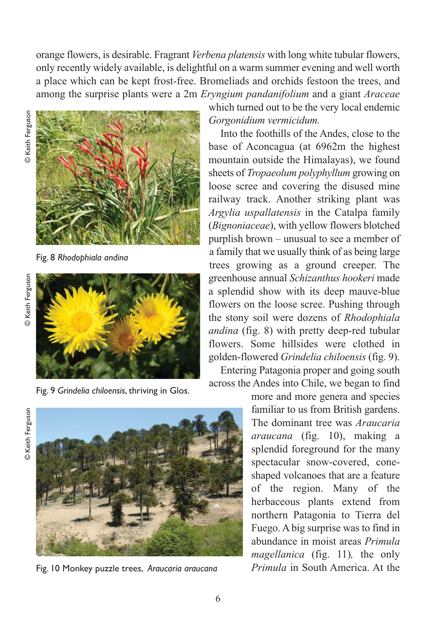orange flowers, is desirable. Fragrant *Verbena platensis* with long white tubular flowers, only recently widely available, is delightful on a warm summer evening and well worth a place which can be kept frost-free. Bromeliads and orchids festoon the trees, and among the surprise plants were a 2m *Eryngium pandanifolium* and a giant *Araceae*



Fig. 8 *Rhodophiala andina*



Fig. 9 *Grindelia chiloensis*, thriving in Glos.

which turned out to be the very local endemic *Gorgonidium vermicidum.*

Into the foothills of the Andes, close to the base of Aconcagua (at 6962m the highest mountain outside the Himalayas), we found sheets of *Tropaeolum polyphyllum* growing on loose scree and covering the disused mine railway track. Another striking plant was *Argylia uspallatensis* in the Catalpa family (*Bignoniaceae*), with yellow flowers blotched purplish brown – unusual to see a member of a family that we usually think of as being large trees growing as a ground creeper. The greenhouse annual *Schizanthus hookeri* made a splendid show with its deep mauve-blue flowers on the loose scree. Pushing through the stony soil were dozens of *Rhodophiala andina* (fig. 8) with pretty deep-red tubular flowers. Some hillsides were clothed in golden-flowered *Grindelia chiloensis* (fig. 9).

Entering Patagonia proper and going south across the Andes into Chile, we began to find

more and more genera and species familiar to us from British gardens. The dominant tree was *Araucaria araucana* (fig. 10), making a splendid foreground for the many spectacular snow-covered, coneshaped volcanoes that are a feature of the region. Many of the herbaceous plants extend from northern Patagonia to Tierra del Fuego. A big surprise was to find in abundance in moist areas *Primula magellanica* (fig. 11)*,* the only *Primula* in South America. At the



Fig. 10 Monkey puzzle trees, *Araucaria araucana*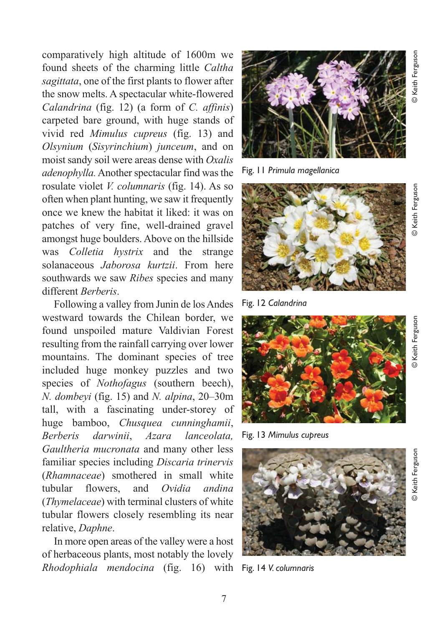comparatively high altitude of 1600m we found sheets of the charming little *Caltha sagittata*, one of the first plants to flower after the snow melts. A spectacular white-flowered *Calandrina* (fig. 12) (a form of *C. affinis* ) carpeted bare ground, with huge stands of vivid red *Mimulus cupreus* (fig. 13) and *Olsynium*  (*Sisyrinchium* ) *junceum*, and on moist sandy soil were areas dense with *Oxalis adenophylla.*Another spectacular find was the rosulate violet *V. columnaris* (fig. 14). As so often when plant hunting, we saw it frequently once we knew the habitat it liked: it was on patches of very fine, well-drained gravel amongst huge boulders. Above on the hillside was *Colletia hystrix* and the strange solanaceous *Jaborosa kurtzii*. From here southwards we saw *Ribes* species and many different *Berberis* .

Following a valley from Junin de los Andes westward towards the Chilean border, we found unspoiled mature Valdivian Forest resulting from the rainfall carrying over lower mountains. The dominant species of tree included huge monkey puzzles and two species of *Nothofagus* (southern beech), *N. dombeyi* (fig. 15) and *N. alpina*, 20–30m tall, with a fascinating under-storey of huge bamboo, *Chusquea cunninghamii* , *Berberis darwinii* , *Azara lanceolata, Gaultheria mucronata* and many other less familiar species including *Discaria trinervis* (*Rhamnaceae*) smothered in small white tubular flowers, and *Ovidia andina* (*Thymelaceae*) with terminal clusters of white tubular flowers closely resembling its near relative, *Daphne* .

In more open areas of the valley were a host of herbaceous plants, most notably the lovely *Rhodophiala mendocina* (fig. 16) with Fig. 14 *V. columnaris*



Fig. 11 *Primula magellanica*



Fig. 12 *Calandrina*



Fig. 13 *Mimulus cupreus*

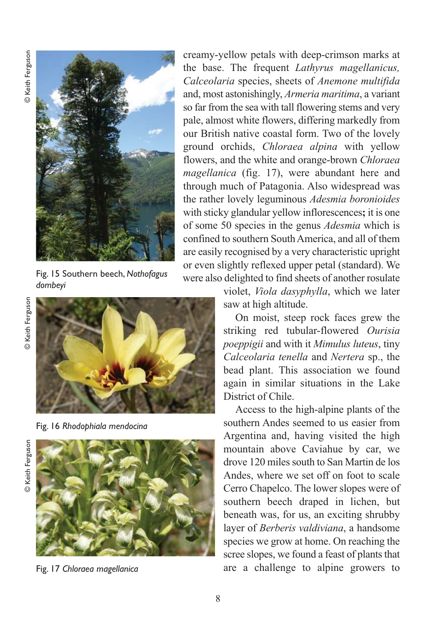

Fig. 15 Southern beech, *Nothofagus dombeyi*



Fig. 16 *Rhodophiala mendocina*



Fig. 17 *Chloraea magellanica*

creamy-yellow petals with deep-crimson marks at the base. The frequent *Lathyrus magellanicus, Calceolaria* species, sheets of *Anemone multifida* and, most astonishingly, *Armeria maritima*, a variant so far from the sea with tall flowering stems and very pale, almost white flowers, differing markedly from our British native coastal form. Two of the lovely ground orchids, *Chloraea alpina* with yellow flowers, and the white and orange-brown *Chloraea magellanica* (fig. 17), were abundant here and through much of Patagonia. Also widespread was the rather lovely leguminous *Adesmia boronioides* with sticky glandular yellow inflorescences**;** it is one of some 50 species in the genus *Adesmia* which is confined to southern South America, and all of them are easily recognised by a very characteristic upright or even slightly reflexed upper petal (standard). We were also delighted to find sheets of another rosulate

> violet, *Viola dasyphylla*, which we later saw at high altitude.

> On moist, steep rock faces grew the striking red tubular-flowered *Ourisia poeppigii* and with it *Mimulus luteus*, tiny *Calceolaria tenella* and *Nertera* sp., the bead plant. This association we found again in similar situations in the Lake District of Chile.

> Access to the high-alpine plants of the southern Andes seemed to us easier from Argentina and, having visited the high mountain above Caviahue by car, we drove 120 miles south to San Martin de los Andes, where we set off on foot to scale Cerro Chapelco. The lower slopes were of southern beech draped in lichen, but beneath was, for us, an exciting shrubby layer of *Berberis valdiviana*, a handsome species we grow at home. On reaching the scree slopes, we found a feast of plants that are a challenge to alpine growers to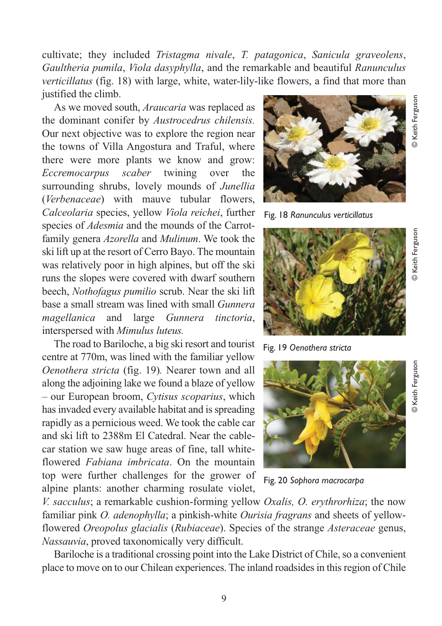**D** Keith Ferguson © Keith Ferguson

cultivate; they included *Tristagma nivale*, *T. patagonica*, *Sanicula graveolens*, *Gaultheria pumila*, *Viola dasyphylla*, and the remarkable and beautiful *Ranunculus verticillatus* (fig. 18) with large, white, water-lily-like flowers, a find that more than justified the climb.

As we moved south, *Araucaria* was replaced as the dominant conifer by *Austrocedrus chilensis.* Our next objective was to explore the region near the towns of Villa Angostura and Traful, where there were more plants we know and grow: *Eccremocarpus scaber* twining over the surrounding shrubs, lovely mounds of *Junellia* (*Verbenaceae*) with mauve tubular flowers, *Calceolaria* species, yellow *Viola reichei*, further species of *Adesmia* and the mounds of the Carrotfamily genera *Azorella* and *Mulinum*. We took the ski lift up at the resort of Cerro Bayo. The mountain was relatively poor in high alpines, but off the ski runs the slopes were covered with dwarf southern beech, *Nothofagus pumilio* scrub. Near the ski lift base a small stream was lined with small *Gunnera magellanica* and large *Gunnera tinctoria*, interspersed with *Mimulus luteus.*

The road to Bariloche, a big ski resort and tourist centre at 770m, was lined with the familiar yellow *Oenothera stricta* (fig. 19)*.* Nearer town and all along the adjoining lake we found a blaze of yellow – our European broom, *Cytisus scoparius*, which has invaded every available habitat and is spreading rapidly as a pernicious weed. We took the cable car and ski lift to 2388m El Catedral. Near the cablecar station we saw huge areas of fine, tall whiteflowered *Fabiana imbricata*. On the mountain top were further challenges for the grower of alpine plants: another charming rosulate violet,



Fig. 18 *Ranunculus verticillatus*



Fig. 19 *Oenothera stricta*



Fig. 20 *Sophora macrocarpa*

*V. sacculus*; a remarkable cushion-forming yellow *Oxalis, O. erythrorhiza*; the now familiar pink *O. adenophylla*; a pinkish-white *Ourisia fragrans* and sheets of yellowflowered *Oreopolus glacialis* (*Rubiaceae*). Species of the strange *Asteraceae* genus, *Nassauvia*, proved taxonomically very difficult.

Bariloche is a traditional crossing point into the Lake District of Chile, so a convenient place to move on to our Chilean experiences. The inland roadsides in this region of Chile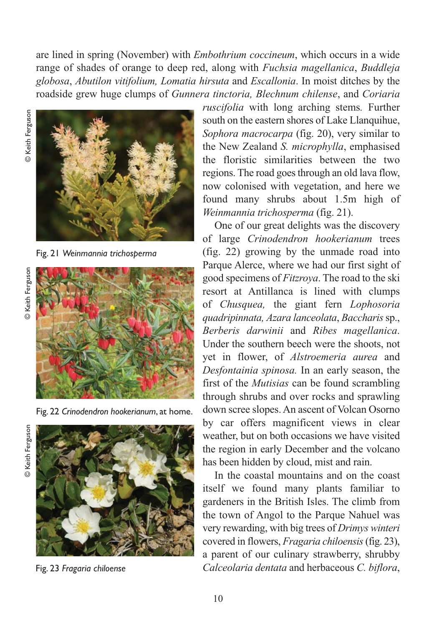are lined in spring (November) with *Embothrium coccineum*, which occurs in a wide range of shades of orange to deep red, along with *Fuchsia magellanica*, *Buddleja globosa*, *Abutilon vitifolium, Lomatia hirsuta* and *Escallonia*. In moist ditches by the roadside grew huge clumps of *Gunnera tinctoria, Blechnum chilense*, and *Coriaria*



Fig. 21 *Weinmannia trichosperma*



Fig. 22 *Crinodendron hookerianum*, at home.

© Keith Ferguson© Keith Ferguson



Fig. 23 *Fragaria chiloense*

*ruscifolia* with long arching stems*.* Further south on the eastern shores of Lake Llanquihue, *Sophora macrocarpa* (fig. 20), very similar to the New Zealand *S. microphylla*, emphasised the floristic similarities between the two regions. The road goes through an old lava flow, now colonised with vegetation, and here we found many shrubs about 1.5m high of *Weinmannia trichosperma* (fig. 21).

One of our great delights was the discovery of large *Crinodendron hookerianum* trees (fig. 22) growing by the unmade road into Parque Alerce, where we had our first sight of good specimens of *Fitzroya*. The road to the ski resort at Antillanca is lined with clumps of *Chusquea,* the giant fern *Lophosoria quadripinnata, Azara lanceolata*, *Baccharis*sp., *Berberis darwinii* and *Ribes magellanica*. Under the southern beech were the shoots, not yet in flower, of *Alstroemeria aurea* and *Desfontainia spinosa.* In an early season, the first of the *Mutisias* can be found scrambling through shrubs and over rocks and sprawling down scree slopes. An ascent of Volcan Osorno by car offers magnificent views in clear weather, but on both occasions we have visited the region in early December and the volcano has been hidden by cloud, mist and rain.

In the coastal mountains and on the coast itself we found many plants familiar to gardeners in the British Isles. The climb from the town of Angol to the Parque Nahuel was very rewarding, with big trees of *Drimys winteri* covered in flowers, *Fragaria chiloensis*(fig. 23), a parent of our culinary strawberry, shrubby *Calceolaria dentata* and herbaceous *C. biflora*,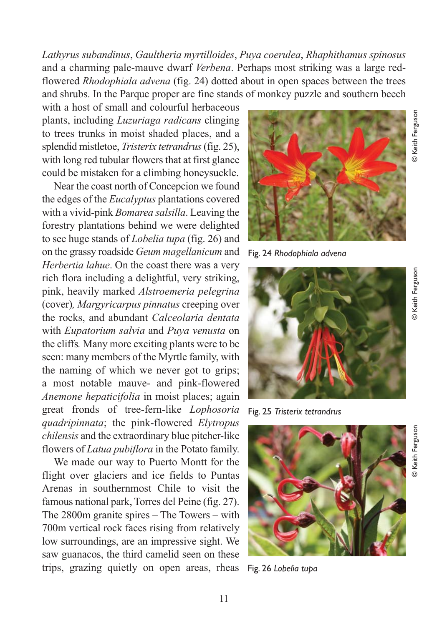Keith Ferguson

© Keith Ferguson

**D** Keith Ferguson © Keith Ferguson

*Lathyrus subandinus*, *Gaultheria myrtilloides*, *Puya coerulea*, *Rhaphithamus spinosus* and a charming pale-mauve dwarf *Verbena*. Perhaps most striking was a large redflowered *Rhodophiala advena* (fig. 24) dotted about in open spaces between the trees and shrubs. In the Parque proper are fine stands of monkey puzzle and southern beech

with a host of small and colourful herbaceous plants, including *Luzuriaga radicans* clinging to trees trunks in moist shaded places, and a splendid mistletoe, *Tristerix tetrandrus* (fig. 25), with long red tubular flowers that at first glance could be mistaken for a climbing honeysuckle.

Near the coast north of Concepcion we found the edges of the *Eucalyptus* plantations covered with a vivid-pink *Bomarea salsilla*. Leaving the forestry plantations behind we were delighted to see huge stands of *Lobelia tupa* (fig. 26) and on the grassy roadside *Geum magellanicum* and *Herbertia lahue*. On the coast there was a very rich flora including a delightful, very striking, pink, heavily marked *Alstroemeria pelegrina* (cover)*, Margyricarpus pinnatus* creeping over the rocks, and abundant *Calceolaria dentata* with *Eupatorium salvia* and *Puya venusta* on the cliffs*.* Many more exciting plants were to be seen: many members of the Myrtle family, with the naming of which we never got to grips; a most notable mauve- and pink-flowered *Anemone hepaticifolia* in moist places; again great fronds of tree-fern-like *Lophosoria quadripinnata*; the pink-flowered *Elytropus chilensis* and the extraordinary blue pitcher-like flowers of *Latua pubiflora* in the Potato family.

We made our way to Puerto Montt for the flight over glaciers and ice fields to Puntas Arenas in southernmost Chile to visit the famous national park, Torres del Peine (fig. 27). The 2800m granite spires – The Towers – with 700m vertical rock faces rising from relatively low surroundings, are an impressive sight. We saw guanacos, the third camelid seen on these trips, grazing quietly on open areas, rheas



Fig. 24 *Rhodophiala advena*



Fig. 25 *Tristerix tetrandrus*



Fig. 26 *Lobelia tupa*